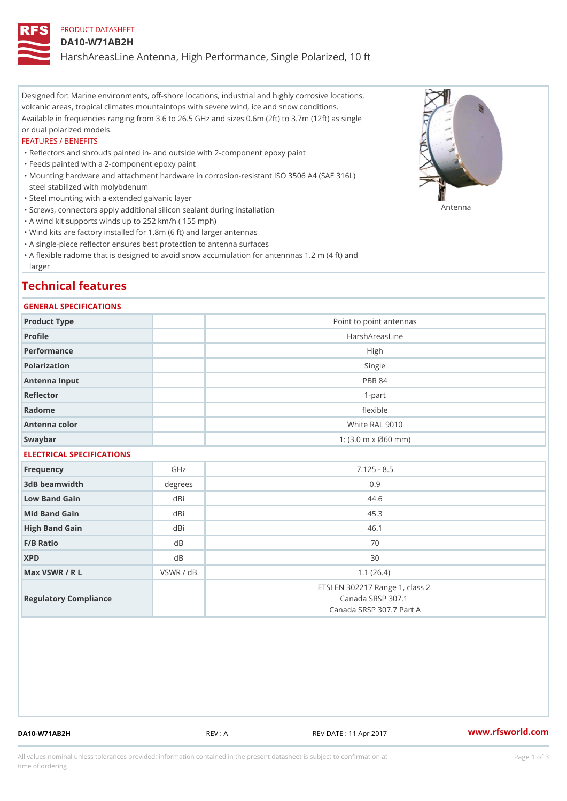## PRODUCT DATASHEET

### DA10-W71AB2H

HarshAreasLine Antenna, High Performance, Single Polarized, 10 ft

Designed for: Marine environments, off-shore locations, industrial and highly corrosive locations, volcanic areas, tropical climates mountaintops with severe wind, ice and snow conditions. Available in frequencies ranging from 3.6 to 26.5 GHz and sizes 0.6m (2ft) to 3.7m (12ft) as single or dual polarized models.

#### FEATURES / BENEFITS

"Reflectors and shrouds painted in- and outside with 2-component epoxy paint

- "Feeds painted with a 2-component epoxy paint
- Mounting hardware and attachment hardware in corrosion-resistant ISO 3506 A4 (SAE 316L) " steel stabilized with molybdenum
- "Steel mounting with a extended galvanic layer
- "Screws, connectors apply additional silicon sealant during installation Antenna
- "A wind kit supports winds up to 252 km/h ( 155 mph)
- "Wind kits are factory installed for 1.8m (6 ft) and larger antennas
- "A single-piece reflector ensures best protection to antenna surfaces
- "A flexible radome that is designed to avoid snow accumulation for antennnas 1.2 m (4 ft) and larger

## Technical features

## GENERAL SPECIFICATIONS

| Product Type              |                | Point to point antennas                                                          |  |  |  |
|---------------------------|----------------|----------------------------------------------------------------------------------|--|--|--|
| Profile                   |                | HarshAreasLine                                                                   |  |  |  |
| Performance               |                | High                                                                             |  |  |  |
| Polarization              |                | Single                                                                           |  |  |  |
| Antenna Input             |                | <b>PBR 84</b>                                                                    |  |  |  |
| Reflector                 |                | $1-part$                                                                         |  |  |  |
| Radome                    |                | flexible                                                                         |  |  |  |
| Antenna color             |                | White RAL 9010                                                                   |  |  |  |
| Swaybar                   |                | 1: $(3.0 \, \text{m} \times \emptyset 60 \, \text{mm})$                          |  |  |  |
| ELECTRICAL SPECIFICATIONS |                |                                                                                  |  |  |  |
| Frequency                 | GHz            | $7.125 - 8.5$                                                                    |  |  |  |
| 3dB beamwidth             | degree:        | 0.9                                                                              |  |  |  |
| Low Band Gain             | dBi            | 44.6                                                                             |  |  |  |
| Mid Band Gain             | dBi            | 45.3                                                                             |  |  |  |
| High Band Gain            | dBi            | 46.1                                                                             |  |  |  |
| $F/B$ Ratio               | d <sub>B</sub> | 70                                                                               |  |  |  |
| <b>XPD</b>                | d B            | 30                                                                               |  |  |  |
| Max VSWR / R L            | VSWR / dB      | 1.1(26.4)                                                                        |  |  |  |
| Regulatory Compliance     |                | ETSI EN 302217 Range 1, class 2<br>Canada SRSP 307.1<br>Canada SRSP 307.7 Part A |  |  |  |

DA10-W71AB2H REV : A REV DATE : 11 Apr 2017 [www.](https://www.rfsworld.com)rfsworld.com

All values nominal unless tolerances provided; information contained in the present datasheet is subject to Pcapgeign mation time of ordering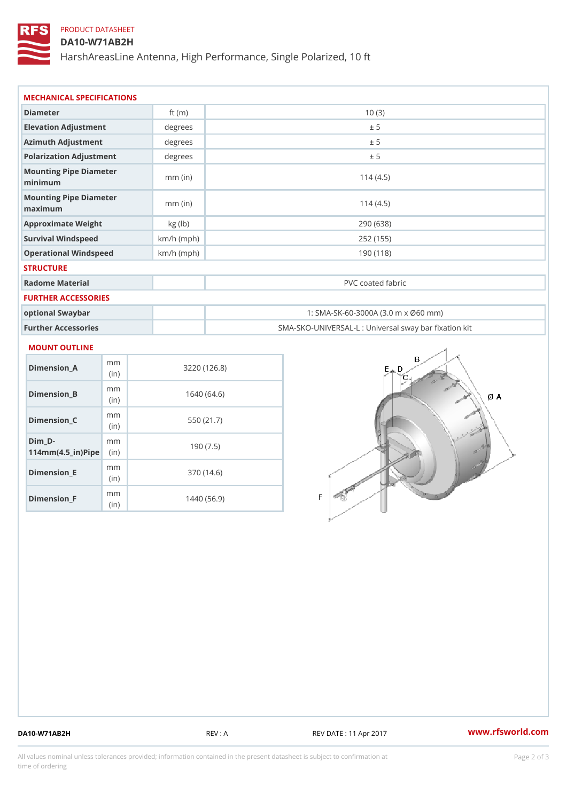## PRODUCT DATASHEET

DA10-W71AB2H

HarshAreasLine Antenna, High Performance, Single Polarized, 10 ft

| MECHANICAL SPECIFICATIONS                     |              |                                     |  |  |
|-----------------------------------------------|--------------|-------------------------------------|--|--|
| Diameter                                      | ft $(m)$     | 10(3)                               |  |  |
| Elevation Adjustment                          | degree       | ± 5                                 |  |  |
| Azimuth Adjustment                            | degrees      | ± 5                                 |  |  |
| Polarization Adjustment                       | degrees      | ± 5                                 |  |  |
| Mounting Pipe Diameter<br>minimum             | $mm$ (in)    | 114(4.5)                            |  |  |
| Mounting Pipe Diameter<br>$m$ a x i $m$ u $m$ | $mm$ (in)    | 114(4.5)                            |  |  |
| Approximate Weight                            | $kg$ (lb)    | 290 (638)                           |  |  |
| Survival Windspeed                            | $km/h$ (mph) | 252 (155)                           |  |  |
| Operational Windspeed                         | $km/h$ (mph) | 190 (118)                           |  |  |
| <b>STRUCTURE</b>                              |              |                                     |  |  |
| Radome Material                               |              | PVC coated fabric                   |  |  |
| FURTHER ACCESSORIES                           |              |                                     |  |  |
| optional Swaybar                              |              | 1: SMA-SK-60-3000A (3.0 m x Ø60 mm) |  |  |

Further Accessories SMA-SKO-UNIVERSAL-L : Universal sway bar fixation kit

### MOUNT OUTLINE

| Dimension A                                                 | m m<br>(i <sub>n</sub> ) | 3220 (126.8) |
|-------------------------------------------------------------|--------------------------|--------------|
| Dimension B                                                 | m m<br>(in)              | 1640 (64.6)  |
| Dimension C                                                 | m m<br>(i <sub>n</sub> ) | 550 (21.7)   |
| Dim D-<br>$114$ m m (4.5 _ ir) $\mathbb{R}$ im $\mathbb{R}$ | m m                      | 190 (7.5)    |
| Dimension E                                                 | m m<br>(i n)             | 370 (14.6)   |
| $Dimension_F$                                               | m m<br>(in)              | 1440 (56.9)  |

DA10-W71AB2H REV : A REV DATE : 11 Apr 2017 [www.](https://www.rfsworld.com)rfsworld.com